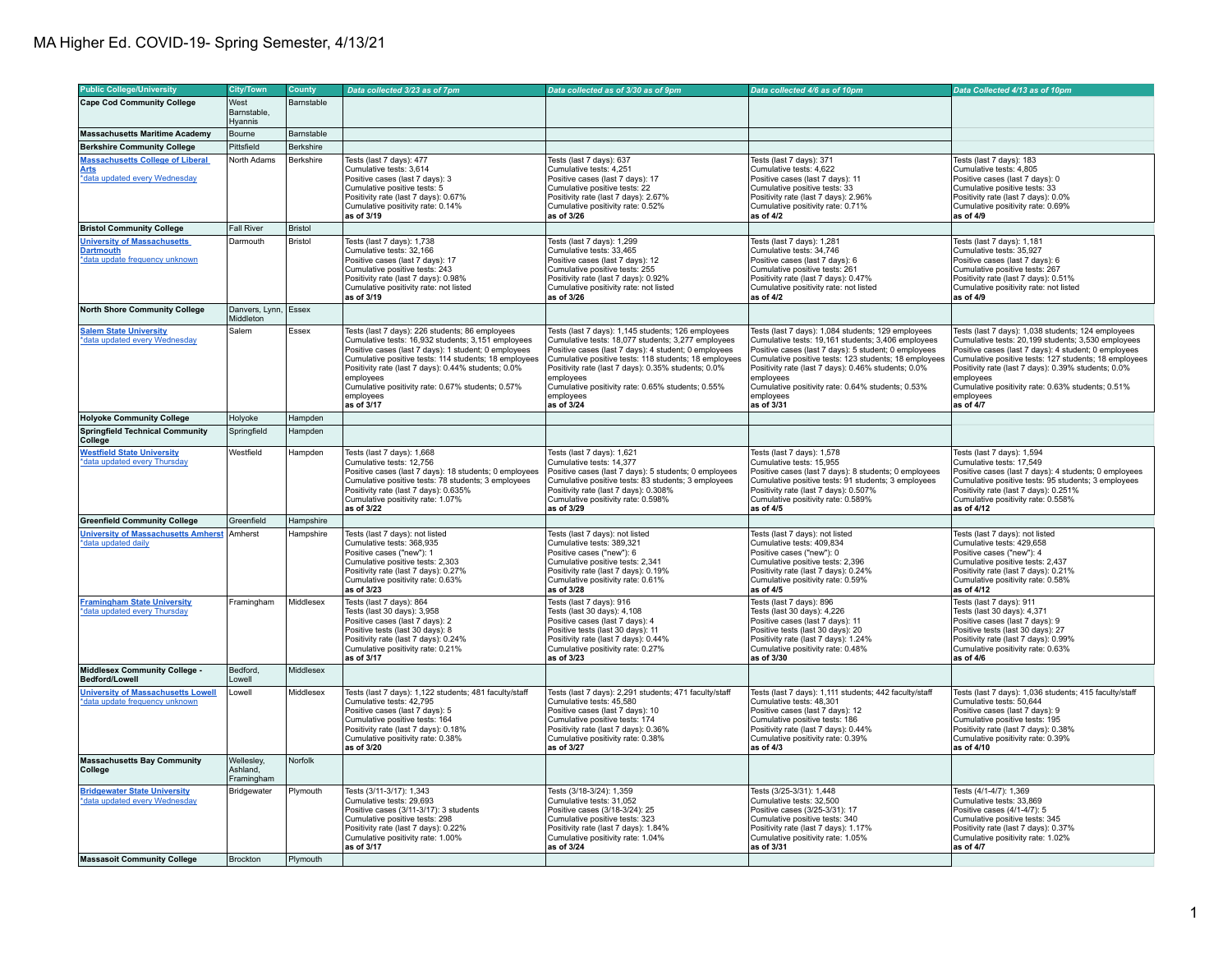| <b>Public College/University</b>                                                                           | <b>City/Town</b>                     | County               |                                                                                                                                                                                                                                                                                                                                                                            |                                                                                                                                                                                                                                                                                                                                                                               |                                                                                                                                                                                                                                                                                                                                                                               |                                                                                                                                                                                                                                                                                                                                                                              |
|------------------------------------------------------------------------------------------------------------|--------------------------------------|----------------------|----------------------------------------------------------------------------------------------------------------------------------------------------------------------------------------------------------------------------------------------------------------------------------------------------------------------------------------------------------------------------|-------------------------------------------------------------------------------------------------------------------------------------------------------------------------------------------------------------------------------------------------------------------------------------------------------------------------------------------------------------------------------|-------------------------------------------------------------------------------------------------------------------------------------------------------------------------------------------------------------------------------------------------------------------------------------------------------------------------------------------------------------------------------|------------------------------------------------------------------------------------------------------------------------------------------------------------------------------------------------------------------------------------------------------------------------------------------------------------------------------------------------------------------------------|
|                                                                                                            |                                      |                      | Data collected 3/23 as of 7pm                                                                                                                                                                                                                                                                                                                                              | Data collected as of 3/30 as of 9pm                                                                                                                                                                                                                                                                                                                                           | Data collected 4/6 as of 10pm                                                                                                                                                                                                                                                                                                                                                 | Data Collected 4/13 as of 10pm                                                                                                                                                                                                                                                                                                                                               |
| <b>Cape Cod Community College</b>                                                                          | West<br>Barnstable,<br>Hvannis       | Barnstable           |                                                                                                                                                                                                                                                                                                                                                                            |                                                                                                                                                                                                                                                                                                                                                                               |                                                                                                                                                                                                                                                                                                                                                                               |                                                                                                                                                                                                                                                                                                                                                                              |
| <b>Massachusetts Maritime Academy</b>                                                                      | Bourne                               | Barnstable           |                                                                                                                                                                                                                                                                                                                                                                            |                                                                                                                                                                                                                                                                                                                                                                               |                                                                                                                                                                                                                                                                                                                                                                               |                                                                                                                                                                                                                                                                                                                                                                              |
| <b>Berkshire Community College</b>                                                                         | Pittsfield                           | Berkshire            |                                                                                                                                                                                                                                                                                                                                                                            |                                                                                                                                                                                                                                                                                                                                                                               |                                                                                                                                                                                                                                                                                                                                                                               |                                                                                                                                                                                                                                                                                                                                                                              |
| <b>Massachusetts College of Liberal</b><br><u>Arts</u><br>*data updated every Wednesday                    | North Adams                          | Berkshire            | Tests (last 7 days): 477<br>Cumulative tests: 3.614<br>Positive cases (last 7 days): 3<br>Cumulative positive tests: 5<br>Positivity rate (last 7 days): 0.67%<br>Cumulative positivity rate: 0.14%<br>as of 3/19                                                                                                                                                          | Tests (last 7 days): 637<br>Cumulative tests: 4.251<br>Positive cases (last 7 days): 17<br>Cumulative positive tests: 22<br>Positivity rate (last 7 days): 2.67%<br>Cumulative positivity rate: 0.52%<br>as of 3/26                                                                                                                                                           | Tests (last 7 days): 371<br>Cumulative tests: 4.622<br>Positive cases (last 7 days): 11<br>Cumulative positive tests: 33<br>Positivity rate (last 7 days): 2.96%<br>Cumulative positivity rate: 0.71%<br>as of 4/2                                                                                                                                                            | Tests (last 7 days): 183<br>Cumulative tests: 4.805<br>Positive cases (last 7 days): 0<br>Cumulative positive tests: 33<br>Positivity rate (last 7 days): 0.0%<br>Cumulative positivity rate: 0.69%<br>as of 4/9                                                                                                                                                             |
| <b>Bristol Community College</b>                                                                           | <b>Fall River</b>                    | <b>Bristol</b>       |                                                                                                                                                                                                                                                                                                                                                                            |                                                                                                                                                                                                                                                                                                                                                                               |                                                                                                                                                                                                                                                                                                                                                                               |                                                                                                                                                                                                                                                                                                                                                                              |
| <b>University of Massachusetts</b><br><b>Dartmouth</b><br>*data update frequency unknown                   | Darmouth                             | Bristol              | Tests (last 7 days): 1,738<br>Cumulative tests: 32,166<br>Positive cases (last 7 days): 17<br>Cumulative positive tests: 243<br>Positivity rate (last 7 days): 0.98%<br>Cumulative positivity rate: not listed<br>as of 3/19                                                                                                                                               | Tests (last 7 days): 1,299<br>Cumulative tests: 33,465<br>Positive cases (last 7 days): 12<br>Cumulative positive tests: 255<br>Positivity rate (last 7 days): 0.92%<br>Cumulative positivity rate: not listed<br>as of 3/26                                                                                                                                                  | Tests (last 7 days): 1,281<br>Cumulative tests: 34,746<br>Positive cases (last 7 days): 6<br>Cumulative positive tests: 261<br>Positivity rate (last 7 days): 0.47%<br>Cumulative positivity rate: not listed<br>as of 4/2                                                                                                                                                    | Tests (last 7 days): 1,181<br>Cumulative tests: 35,927<br>Positive cases (last 7 days): 6<br>Cumulative positive tests: 267<br>Positivity rate (last 7 days): 0.51%<br>Cumulative positivity rate: not listed<br>as of 4/9                                                                                                                                                   |
| <b>North Shore Community College</b>                                                                       | Danvers, Lynn, Essex<br>Middleton    |                      |                                                                                                                                                                                                                                                                                                                                                                            |                                                                                                                                                                                                                                                                                                                                                                               |                                                                                                                                                                                                                                                                                                                                                                               |                                                                                                                                                                                                                                                                                                                                                                              |
| <b>Salem State University</b><br>*data updated every Wednesday                                             | Salem                                | Essex                | Tests (last 7 days): 226 students; 86 employees<br>Cumulative tests: 16,932 students; 3,151 employees<br>Positive cases (last 7 days): 1 student; 0 employees<br>Cumulative positive tests: 114 students; 18 employees<br>Positivity rate (last 7 days): 0.44% students; 0.0%<br>employees<br>Cumulative positivity rate: 0.67% students; 0.57%<br>employees<br>as of 3/17 | Tests (last 7 days): 1,145 students; 126 employees<br>Cumulative tests: 18,077 students; 3,277 employees<br>Positive cases (last 7 days): 4 student; 0 employees<br>Cumulative positive tests: 118 students; 18 employees<br>Positivity rate (last 7 days): 0.35% students; 0.0%<br>employees<br>Cumulative positivity rate: 0.65% students; 0.55%<br>employees<br>as of 3/24 | Tests (last 7 days): 1,084 students; 129 employees<br>Cumulative tests: 19,161 students; 3,406 employees<br>Positive cases (last 7 days): 5 student; 0 employees<br>Cumulative positive tests: 123 students; 18 employees<br>Positivity rate (last 7 days): 0.46% students; 0.0%<br>employees<br>Cumulative positivity rate: 0.64% students; 0.53%<br>employees<br>as of 3/31 | Tests (last 7 days): 1,038 students; 124 employees<br>Cumulative tests: 20,199 students; 3,530 employees<br>Positive cases (last 7 days): 4 student; 0 employees<br>Cumulative positive tests: 127 students; 18 employees<br>Positivity rate (last 7 days): 0.39% students; 0.0%<br>employees<br>Cumulative positivity rate: 0.63% students; 0.51%<br>employees<br>as of 4/7 |
| <b>Holyoke Community College</b>                                                                           | Holyoke                              | Hampden              |                                                                                                                                                                                                                                                                                                                                                                            |                                                                                                                                                                                                                                                                                                                                                                               |                                                                                                                                                                                                                                                                                                                                                                               |                                                                                                                                                                                                                                                                                                                                                                              |
| <b>Springfield Technical Community</b><br>College                                                          | Springfield                          | Hampden              |                                                                                                                                                                                                                                                                                                                                                                            |                                                                                                                                                                                                                                                                                                                                                                               |                                                                                                                                                                                                                                                                                                                                                                               |                                                                                                                                                                                                                                                                                                                                                                              |
| <b>Westfield State University</b><br>*data updated every Thursday                                          | Westfield                            | Hampden              | Tests (last 7 days): 1,668<br>Cumulative tests: 12,756<br>Positive cases (last 7 days): 18 students; 0 employees<br>Cumulative positive tests: 78 students; 3 employees<br>Positivity rate (last 7 days): 0.635%<br>Cumulative positivity rate: 1.07%<br>as of 3/22                                                                                                        | Tests (last 7 days): 1,621<br>Cumulative tests: 14,377<br>Positive cases (last 7 days): 5 students; 0 employees<br>Cumulative positive tests: 83 students; 3 employees<br>Positivity rate (last 7 days): 0.308%<br>Cumulative positivity rate: 0.598%<br>as of 3/29                                                                                                           | Tests (last 7 days): 1,578<br>Cumulative tests: 15,955<br>Positive cases (last 7 days): 8 students; 0 employees<br>Cumulative positive tests: 91 students; 3 employees<br>Positivity rate (last 7 days): 0.507%<br>Cumulative positivity rate: 0.589%<br>as of 4/5                                                                                                            | Tests (last 7 days): 1,594<br>Cumulative tests: 17,549<br>Positive cases (last 7 days): 4 students; 0 employees<br>Cumulative positive tests: 95 students; 3 employees<br>Positivity rate (last 7 days): 0.251%<br>Cumulative positivity rate: 0.558%<br>as of 4/12                                                                                                          |
| <b>Greenfield Community College</b>                                                                        | Greenfield                           | Hampshire            |                                                                                                                                                                                                                                                                                                                                                                            |                                                                                                                                                                                                                                                                                                                                                                               |                                                                                                                                                                                                                                                                                                                                                                               |                                                                                                                                                                                                                                                                                                                                                                              |
| University of Massachusetts Amherst Amherst<br>*data updated daily                                         |                                      | Hampshire            | Tests (last 7 days): not listed<br>Cumulative tests: 368,935<br>Positive cases ("new"): 1<br>Cumulative positive tests: 2,303<br>Positivity rate (last 7 days): 0.27%<br>Cumulative positivity rate: 0.63%<br>as of 3/23                                                                                                                                                   | Tests (last 7 days): not listed<br>Cumulative tests: 389,321<br>Positive cases ("new"): 6<br>Cumulative positive tests: 2,341<br>Positivity rate (last 7 days): 0.19%<br>Cumulative positivity rate: 0.61%<br>as of 3/28                                                                                                                                                      | Tests (last 7 days): not listed<br>Cumulative tests: 409,834<br>Positive cases ("new"): 0<br>Cumulative positive tests: 2,396<br>Positivity rate (last 7 days): 0.24%<br>Cumulative positivity rate: 0.59%<br>as of 4/5                                                                                                                                                       | Tests (last 7 days): not listed<br>Cumulative tests: 429,658<br>Positive cases ("new"): 4<br>Cumulative positive tests: 2,437<br>Positivity rate (last 7 days): 0.21%<br>Cumulative positivity rate: 0.58%<br>as of 4/12                                                                                                                                                     |
| <b>Framingham State University</b><br>*data updated every Thursday                                         | Framingham                           | Middlesex            | Tests (last 7 days): 864<br>Tests (last 30 days): 3,958<br>Positive cases (last 7 days): 2<br>Positive tests (last 30 days): 8<br>Positivity rate (last 7 days): 0.24%<br>Cumulative positivity rate: 0.21%<br>as of 3/17                                                                                                                                                  | Tests (last 7 days): 916<br>Tests (last 30 days): 4,108<br>Positive cases (last 7 days): 4<br>Positive tests (last 30 days): 11<br>Positivity rate (last 7 days): 0.44%<br>Cumulative positivity rate: 0.27%<br>as of 3/23                                                                                                                                                    | Tests (last 7 days): 896<br>Tests (last 30 days): 4,226<br>Positive cases (last 7 days): 11<br>Positive tests (last 30 days): 20<br>Positivity rate (last 7 days): 1.24%<br>Cumulative positivity rate: 0.48%<br>as of 3/30                                                                                                                                                   | Tests (last 7 days): 911<br>Tests (last 30 days): 4,371<br>Positive cases (last 7 days): 9<br>Positive tests (last 30 days): 27<br>Positivity rate (last 7 days): 0.99%<br>Cumulative positivity rate: 0.63%<br>as of 4/6                                                                                                                                                    |
| Middlesex Community College -<br>Bedford/Lowell                                                            | Bedford.<br>Lowell                   | Middlesex            |                                                                                                                                                                                                                                                                                                                                                                            |                                                                                                                                                                                                                                                                                                                                                                               |                                                                                                                                                                                                                                                                                                                                                                               |                                                                                                                                                                                                                                                                                                                                                                              |
| <b>University of Massachusetts Lowell</b><br>data update frequency unknown                                 | Lowell                               | Middlesex            | Tests (last 7 days): 1,122 students; 481 faculty/staff<br>Cumulative tests: 42,795<br>Positive cases (last 7 days): 5<br>Cumulative positive tests: 164<br>Positivity rate (last 7 days): 0.18%<br>Cumulative positivity rate: 0.38%<br>as of 3/20                                                                                                                         | Tests (last 7 days): 2,291 students; 471 faculty/staff<br>Cumulative tests: 45,580<br>Positive cases (last 7 days): 10<br>Cumulative positive tests: 174<br>Positivity rate (last 7 days): 0.36%<br>Cumulative positivity rate: 0.38%<br>as of 3/27                                                                                                                           | Tests (last 7 days): 1,111 students; 442 faculty/staff<br>Cumulative tests: 48,301<br>Positive cases (last 7 days): 12<br>Cumulative positive tests: 186<br>Positivity rate (last 7 days): 0.44%<br>Cumulative positivity rate: 0.39%<br>as of 4/3                                                                                                                            | Tests (last 7 days): 1,036 students; 415 faculty/staff<br>Cumulative tests: 50,644<br>Positive cases (last 7 days): 9<br>Cumulative positive tests: 195<br>Positivity rate (last 7 days): 0.38%<br>Cumulative positivity rate: 0.39%<br>as of 4/10                                                                                                                           |
| <b>Massachusetts Bay Community</b><br>College                                                              | Wellesley,<br>Ashland,<br>Framingham | Norfolk              |                                                                                                                                                                                                                                                                                                                                                                            |                                                                                                                                                                                                                                                                                                                                                                               |                                                                                                                                                                                                                                                                                                                                                                               |                                                                                                                                                                                                                                                                                                                                                                              |
| <b>Bridgewater State University</b><br>*data updated every Wednesday<br><b>Massasoit Community College</b> | Bridgewater<br>Brockton              | Plymouth<br>Plymouth | Tests (3/11-3/17): 1,343<br>Cumulative tests: 29,693<br>Positive cases (3/11-3/17): 3 students<br>Cumulative positive tests: 298<br>Positivity rate (last 7 days): 0.22%<br>Cumulative positivity rate: 1.00%<br>as of 3/17                                                                                                                                                | Tests (3/18-3/24): 1,359<br>Cumulative tests: 31,052<br>Positive cases (3/18-3/24): 25<br>Cumulative positive tests: 323<br>Positivity rate (last 7 days): 1.84%<br>Cumulative positivity rate: 1.04%<br>as of 3/24                                                                                                                                                           | Tests (3/25-3/31): 1,448<br>Cumulative tests: 32,500<br>Positive cases (3/25-3/31): 17<br>Cumulative positive tests: 340<br>Positivity rate (last 7 days): 1.17%<br>Cumulative positivity rate: 1.05%<br>as of 3/31                                                                                                                                                           | Tests (4/1-4/7): 1.369<br>Cumulative tests: 33,869<br>Positive cases (4/1-4/7): 5<br>Cumulative positive tests: 345<br>Positivity rate (last 7 days): 0.37%<br>Cumulative positivity rate: 1.02%<br>as of 4/7                                                                                                                                                                |
|                                                                                                            |                                      |                      |                                                                                                                                                                                                                                                                                                                                                                            |                                                                                                                                                                                                                                                                                                                                                                               |                                                                                                                                                                                                                                                                                                                                                                               |                                                                                                                                                                                                                                                                                                                                                                              |